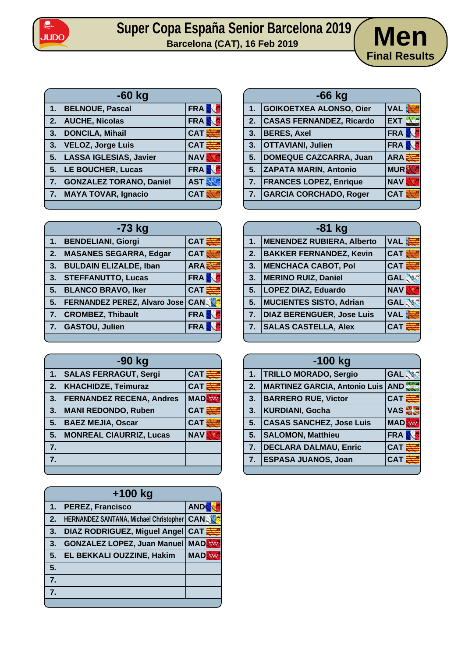

## Super Copa España Senior Barcelona 2019 **Men**



| $-60$ kg |                                |            |
|----------|--------------------------------|------------|
| 1.       | <b>BELNOUE, Pascal</b>         | <b>FRA</b> |
| 2.       | <b>AUCHE, Nicolas</b>          | <b>FRA</b> |
| 3.       | DONCILA, Mihail                | <b>CAT</b> |
| 3.       | <b>VELOZ, Jorge Luis</b>       | <b>CAT</b> |
| 5.       | LASSA IGLESIAS, Javier         | <b>NAV</b> |
| 5.       | <b>LE BOUCHER, Lucas</b>       | <b>FRA</b> |
| 7.       | <b>GONZALEZ TORANO, Daniel</b> | <b>AST</b> |
| 7.       | <b>MAYA TOVAR, Ignacio</b>     | <b>CAT</b> |

| $-66$ kg |                                 |                  |
|----------|---------------------------------|------------------|
| 1.       | GOIKOETXEA ALONSO, Oier         | <b>VAL</b>       |
| 2.       | <b>CASAS FERNANDEZ, Ricardo</b> | <b>EXT</b>       |
| 3.       | <b>BERES, Axel</b>              | <b>FRA</b>       |
| 3.       | <b>OTTAVIANI, Julien</b>        | <b>FRA</b>       |
| 5.       | DOMEQUE CAZCARRA, Juan          | ARA <sup>3</sup> |
| 5.       | <b>ZAPATA MARIN, Antonio</b>    | <b>MUR</b>       |
| 7.       | <b>FRANCES LOPEZ, Enrique</b>   | <b>NAV</b>       |
| 7.       | <b>GARCIA CORCHADO, Roger</b>   | <b>CAT</b>       |
|          |                                 |                  |

| $-73$ kg |                               |             |
|----------|-------------------------------|-------------|
| 1.       | <b>BENDELIANI, Giorgi</b>     | <b>CAT</b>  |
| 2.       | <b>MASANES SEGARRA, Edgar</b> | <b>CAT</b>  |
| 3.       | <b>BULDAIN ELIZALDE, Iban</b> | ARA E       |
| 3.       | <b>STEFFANUTTO, Lucas</b>     | <b>FRA</b>  |
| 5.       | <b>BLANCO BRAVO, Iker</b>     | <b>CAT</b>  |
| 5.       | FERNANDEZ PEREZ, Alvaro Jose  | <b>CANS</b> |
| 7.       | <b>CROMBEZ, Thibault</b>      | <b>FRA</b>  |
| 7.       | <b>GASTOU, Julien</b>         | <b>FRA</b>  |
|          |                               |             |

| -90 kg           |                                 |                     |
|------------------|---------------------------------|---------------------|
| 1.               | <b>SALAS FERRAGUT, Sergi</b>    | $CAT$ $\frac{3}{5}$ |
| 2.               | <b>KHACHIDZE, Teimuraz</b>      | <b>CAT</b>          |
| 3.               | <b>FERNANDEZ RECENA, Andres</b> | <b>MAD</b>          |
| 3.               | <b>MANI REDONDO, Ruben</b>      | <b>CAT</b>          |
| 5.               | <b>BAEZ MEJIA, Oscar</b>        | <b>CAT</b>          |
| 5.               | <b>MONREAL CIAURRIZ, Lucas</b>  | <b>NAV</b>          |
| $\overline{7}$ . |                                 |                     |
| 7.               |                                 |                     |
|                  |                                 |                     |

| $+100$ kg |                                               |              |
|-----------|-----------------------------------------------|--------------|
| 1.        | <b>PEREZ, Francisco</b>                       | <b>AND</b>   |
| 2.        | <b>HERNANDEZ SANTANA, Michael Christopher</b> | <b>CAN</b>   |
| 3.        | DIAZ RODRIGUEZ, Miguel Angel                  | $CAT \equiv$ |
| 3.        | <b>GONZALEZ LOPEZ, Juan Manuel</b>            | <b>MAD</b>   |
| 5.        | EL BEKKALI OUZZINE, Hakim                     | <b>MAD</b>   |
| 5.        |                                               |              |
| 7.        |                                               |              |
| 7.        |                                               |              |
|           |                                               |              |

| $-81$ kg |                                  |            |
|----------|----------------------------------|------------|
| 1.       | MENENDEZ RUBIERA, Alberto        | <b>VAL</b> |
| 2.       | <b>BAKKER FERNANDEZ, Kevin</b>   | <b>CAT</b> |
| 3.       | <b>MENCHACA CABOT, Pol</b>       | <b>CAT</b> |
| 3.       | <b>MERINO RUIZ, Daniel</b>       | <b>GAL</b> |
| 5.       | <b>LOPEZ DIAZ, Eduardo</b>       | <b>NAV</b> |
| 5.       | MUCIENTES SISTO, Adrian          | <b>GAL</b> |
| 7.       | <b>DIAZ BERENGUER, Jose Luis</b> | <b>VAL</b> |
| 7.       | <b>SALAS CASTELLA, Alex</b>      | <b>CAT</b> |
|          |                                  |            |

| $-100$ kg |                                          |              |
|-----------|------------------------------------------|--------------|
| 1.        | <b>TRILLO MORADO, Sergio</b>             | <b>GAL</b>   |
| 2.        | <b>MARTINEZ GARCIA, Antonio Luis AND</b> |              |
| 3.        | <b>BARRERO RUE, Victor</b>               | $CAT \equiv$ |
| 3.        | <b>KURDIANI, Gocha</b>                   | VAS S        |
| 5.        | <b>CASAS SANCHEZ, Jose Luis</b>          | <b>MAD</b>   |
| 5.        | <b>SALOMON, Matthieu</b>                 | <b>FRA</b>   |
| 7.        | <b>DECLARA DALMAU, Enric</b>             | <b>CAT</b>   |
| 7.        | <b>ESPASA JUANOS, Joan</b>               | <b>CAT</b>   |
|           |                                          |              |